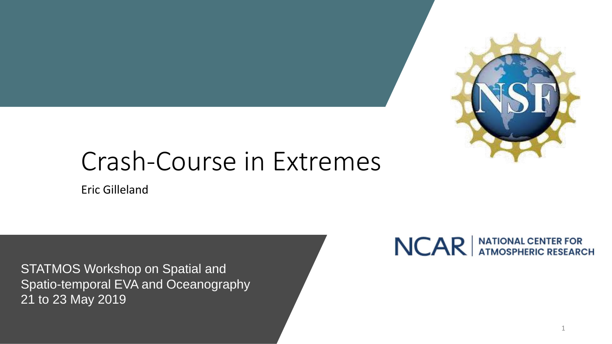

# Crash-Course in Extremes

Eric Gilleland

STATMOS Workshop on Spatial and Spatio-temporal EVA and Oceanography 21 to 23 May 2019

### NCAR ATIONAL CENTER FOR

1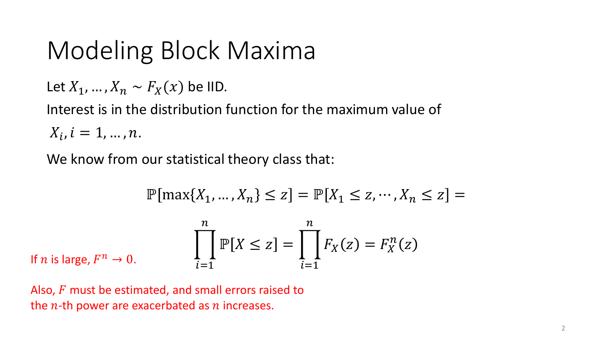Let  $X_1, ..., X_n \sim F_X(x)$  be IID.

Interest is in the distribution function for the maximum value of

 $X_i$ ,  $i = 1, ..., n$ .

We know from our statistical theory class that:

$$
\mathbb{P}[\max\{X_1, \dots, X_n\} \le z] = \mathbb{P}[X_1 \le z, \dots, X_n \le z] =
$$
  

$$
\prod_{i=1}^n \mathbb{P}[X \le z] = \prod_{i=1}^n F_X(z) = F_X^n(z)
$$
  
If *n* is large,  $F^n \to 0$ .

Also,  $F$  must be estimated, and small errors raised to the  $n$ -th power are exacerbated as  $n$  increases.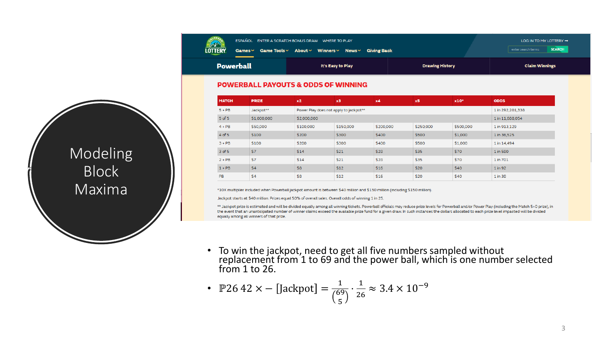| COLOR AGO      |           | ESPAÑOL ENTER A SCRATCH BONUS DRAW WHERE TO PLAY          | LOG IN TO MY LOTTERY $\rightarrow$  |                       |  |
|----------------|-----------|-----------------------------------------------------------|-------------------------------------|-----------------------|--|
| <b>LOTTERY</b> |           | Games v Game Tools v About v Winners v News v Giving Back | <b>SEARCH</b><br>enter search terms |                       |  |
|                | Powerball | It's Easy to Play                                         | <b>Drawing History</b>              | <b>Claim Winnings</b> |  |

#### **POWERBALL PAYOUTS & ODDS OF WINNING**

| <b>MATCH</b> | <b>PRIZE</b> | x2          | x3                                                         | x4        | x5        | x10*      | <b>ODDS</b>  |  |
|--------------|--------------|-------------|------------------------------------------------------------|-----------|-----------|-----------|--------------|--|
| $5 + PB$     | Jackpot**    |             | Power Play does not apply to jackpot**<br>1 in 292,201,338 |           |           |           |              |  |
| $5$ of $5$   | \$1,000,000  | \$2,000,000 |                                                            |           |           |           |              |  |
| $4 + PB$     | \$50,000     | \$100,000   | \$150,000                                                  | \$200,000 | \$250,000 | \$500,000 | 1 in 913,129 |  |
| 4 of 5       | \$100        | \$200       | \$300                                                      | \$400     | \$500     | \$1,000   | 1 in 36,525  |  |
| $3 + PB$     | \$100        | \$200       | \$300                                                      | \$400     | \$500     | \$1,000   | 1 in 14,494  |  |
| $3$ of $5$   | \$7          | \$14        | \$21                                                       | \$28      | \$35      | \$70      | 1 in 580     |  |
| $2 + PB$     | \$7          | \$14        | \$21                                                       | \$28      | \$35      | \$70      | 1 in 701     |  |
| $1 + PB$     | \$4          | \$8         | \$12                                                       | \$16      | \$20      | \$40      | 1 in 92      |  |
| <b>PB</b>    | \$4          | \$8         | \$12                                                       | \$16      | \$20      | \$40      | 1 in 38      |  |

\*10X multiplier included when Powerball jackpot amount is between \$40 million and \$150 million (including \$150 million).

Jackpot starts at \$40 million. Prizes equal 50% of overall sales. Overall odds of winning 1 in 25.

\*\* Jackpot prize is estimated and will be divided equally among all winning tickets. Powerball officials may reduce prize levels for Powerball and/or Power Play (including the Match 5+0 prize), in the event that an unanticipated number of winner claims exceed the available prize fund for a given draw. In such instances the dollars allocated to each prize level impacted will be divided equally among all winners of that prize.

• To win the jackpot, need to get all five numbers sampled without replacement from 1 to 69 and the power ball, which is one number selected from  $1$  to  $26$ .

• P26 42 x - [Jackpot] = 
$$
\frac{1}{\binom{69}{5}} \cdot \frac{1}{26} \approx 3.4 \times 10^{-9}
$$

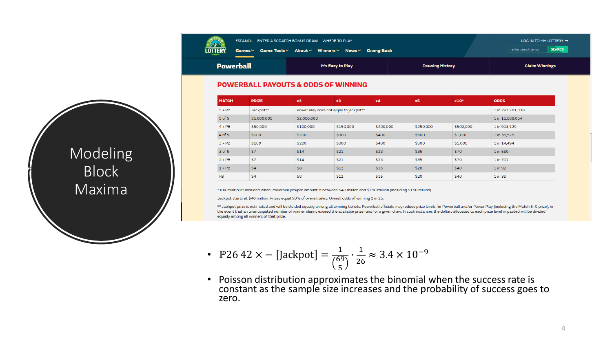| COLORADO |           | ESPAÑOL ENTER A SCRATCH BONUS DRAW WHERE TO PLAY          | LOG IN TO MY LOTTERY $\rightarrow$ |                                     |  |
|----------|-----------|-----------------------------------------------------------|------------------------------------|-------------------------------------|--|
| LOTTERY  |           | Games v Game Tools v About v Winners v News v Giving Back |                                    | <b>SEARCH</b><br>enter search terms |  |
|          | Powerball | It's Easy to Play                                         | <b>Drawing History</b>             | <b>Claim Winnings</b>               |  |

#### **POWERBALL PAYOUTS & ODDS OF WINNING**

| <b>MATCH</b> | <b>PRIZE</b> | x2          | x3                                                         | x4        | x5        | x10*      | <b>ODDS</b>  |  |
|--------------|--------------|-------------|------------------------------------------------------------|-----------|-----------|-----------|--------------|--|
| $5 + PB$     | Jackpot**    |             | Power Play does not apply to jackpot**<br>1 in 292,201,338 |           |           |           |              |  |
| $5$ of $5$   | \$1,000,000  | \$2,000,000 | 1 in 11,688,054                                            |           |           |           |              |  |
| $4 + PB$     | \$50,000     | \$100,000   | \$150,000                                                  | \$200,000 | \$250,000 | \$500,000 | 1 in 913,129 |  |
| 4 of 5       | \$100        | \$200       | \$300                                                      | \$400     | \$500     | \$1,000   | 1 in 36,525  |  |
| $3 + PB$     | \$100        | \$200       | \$300                                                      | \$400     | \$500     | \$1,000   | 1 in 14,494  |  |
| 3 of 5       | \$7          | \$14        | \$21                                                       | \$28      | \$35      | \$70      | 1 in 580     |  |
| $2 + PB$     | \$7          | \$14        | \$21                                                       | \$28      | \$35      | \$70      | 1 in 701     |  |
| $1 + PB$     | \$4          | \$8         | \$12                                                       | \$16      | \$20      | \$40      | 1 in 92      |  |
| PB           | \$4          | \$8         | \$12                                                       | \$16      | \$20      | \$40      | 1 in 38      |  |

\*10X multiplier included when Powerball jackpot amount is between \$40 million and \$150 million (including \$150 million).

Jackpot starts at \$40 million. Prizes equal 50% of overall sales. Overall odds of winning 1 in 25.

\*\* Jackpot prize is estimated and will be divided equally among all winning tickets. Powerball officials may reduce prize levels for Powerball and/or Power Play (including the Match 5+0 prize), in the event that an unanticipated number of winner claims exceed the available prize fund for a given draw. In such instances the dollars allocated to each prize level impacted will be divided equally among all winners of that prize.

• P26 42 x - [Jackpot] = 
$$
\frac{1}{\binom{69}{5}} \cdot \frac{1}{26} \approx 3.4 \times 10^{-9}
$$

• Poisson distribution approximates the binomial when the success rate is constant as the sample size increases and the probability of success goes to zero.

Modeling Block Maxima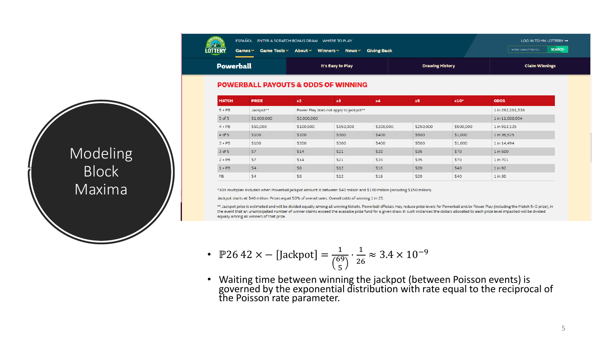| COLOR400       |           | ESPAÑOL ENTER A SCRATCH BONUS DRAW WHERE TO PLAY     | LOG IN TO MY LOTTERY $\rightarrow$  |                       |
|----------------|-----------|------------------------------------------------------|-------------------------------------|-----------------------|
| <b>LOTTERY</b> |           | Games∨ Game Tools∨ About∨ Winners∨ News∨ Giving Back | <b>SEARCH</b><br>enter search terms |                       |
|                | Powerball | It's Easy to Play                                    | <b>Drawing History</b>              | <b>Claim Winnings</b> |

#### **POWERBALL PAYOUTS & ODDS OF WINNING**

| <b>MATCH</b> | <b>PRIZE</b> | x2          | x3                                                         | x4        | x5        | x10*      | <b>ODDS</b>  |  |
|--------------|--------------|-------------|------------------------------------------------------------|-----------|-----------|-----------|--------------|--|
| $5 + PB$     | Jackpot**    |             | Power Play does not apply to jackpot**<br>1 in 292,201,338 |           |           |           |              |  |
| $5$ of $5$   | \$1,000,000  | \$2,000,000 |                                                            |           |           |           |              |  |
| $4 + PB$     | \$50,000     | \$100,000   | \$150,000                                                  | \$200,000 | \$250,000 | \$500,000 | 1 in 913,129 |  |
| 4 of 5       | \$100        | \$200       | \$300                                                      | \$400     | \$500     | \$1,000   | 1 in 36,525  |  |
| $3 + PB$     | \$100        | \$200       | \$300                                                      | \$400     | \$500     | \$1,000   | 1 in 14,494  |  |
| 3 of 5       | \$7          | \$14        | \$21                                                       | \$28      | \$35      | \$70      | 1 in 580     |  |
| $2 + PB$     | \$7          | \$14        | \$21                                                       | \$28      | \$35      | \$70      | 1 in 701     |  |
| $1 + PB$     | \$4          | \$8         | \$12                                                       | \$16      | \$20      | \$40      | 1 in 92      |  |
| PB           | \$4          | \$8         | \$12                                                       | \$16      | \$20      | \$40      | 1 in 38      |  |

\*10X multiplier included when Powerball jackpot amount is between \$40 million and \$150 million (including \$150 million).

Jackpot starts at \$40 million. Prizes equal 50% of overall sales. Overall odds of winning 1 in 25.

\*\* Jackpot prize is estimated and will be divided equally among all winning tickets. Powerball officials may reduce prize levels for Powerball and/or Power Play (including the Match 5+0 prize), in the event that an unanticipated number of winner claims exceed the available prize fund for a given draw. In such instances the dollars allocated to each prize level impacted will be divided equally among all winners of that prize.

• P26 42 x - [Jackpot] = 
$$
\frac{1}{\binom{69}{5}} \cdot \frac{1}{26} \approx 3.4 \times 10^{-9}
$$

• Waiting time between winning the jackpot (between Poisson events) is governed by the exponential distribution with rate equal to the reciprocal of the Poisson rate parameter.

Modeling Block Maxima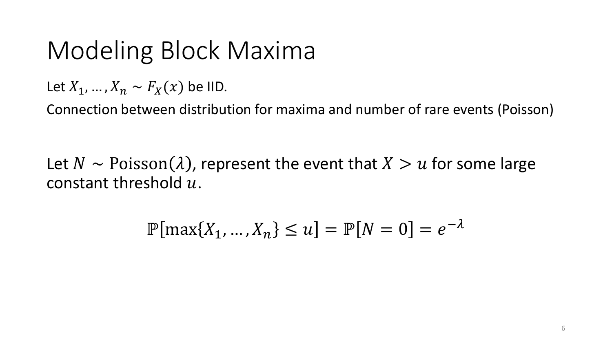Let  $X_1, ..., X_n \sim F_X(x)$  be IID.

Connection between distribution for maxima and number of rare events (Poisson)

Let  $N \sim \text{Poisson}(\lambda)$ , represent the event that  $X > u$  for some large constant threshold  $u$ .

$$
\mathbb{P}[\max\{X_1, ..., X_n\} \le u] = \mathbb{P}[N = 0] = e^{-\lambda}
$$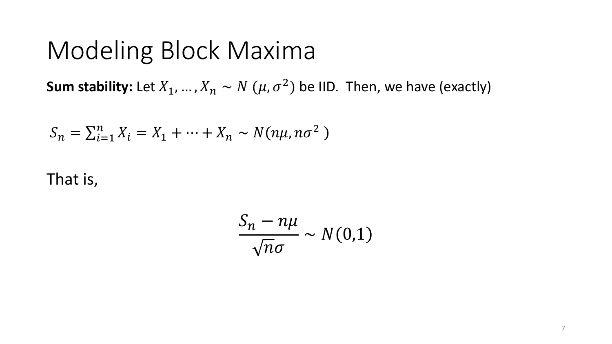**Sum stability:** Let  $X_1, ..., X_n \sim N$   $(\mu, \sigma^2)$  be IID. Then, we have (exactly)

$$
S_n = \sum_{i=1}^n X_i = X_1 + \dots + X_n \sim N(n\mu, n\sigma^2)
$$

That is,

$$
\frac{S_n - n\mu}{\sqrt{n}\sigma} \sim N(0,1)
$$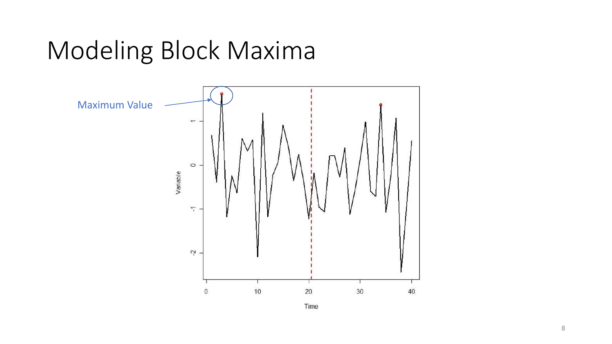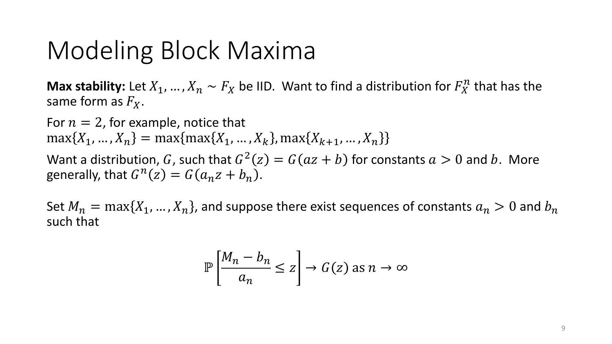**Max stability:** Let  $X_1, ..., X_n \sim F_X$  be IID. Want to find a distribution for  $F_X^n$  that has the same form as  $F_X$ .

For  $n = 2$ , for example, notice that  $\max\{X_1, ..., X_n\} = \max\{\max\{X_1, ..., X_k\}, \max\{X_{k+1}, ..., X_n\}\}\$ Want a distribution, G, such that  $G^2(z) = G(az + b)$  for constants  $a > 0$  and b. More generally, that  $G^n(z) = G(a_n z + b_n)$ .

Set  $M_n = \max\{X_1, ..., X_n\}$ , and suppose there exist sequences of constants  $a_n > 0$  and  $b_n$ such that

$$
\mathbb{P}\left[\frac{M_n - b_n}{a_n} \le z\right] \to G(z) \text{ as } n \to \infty
$$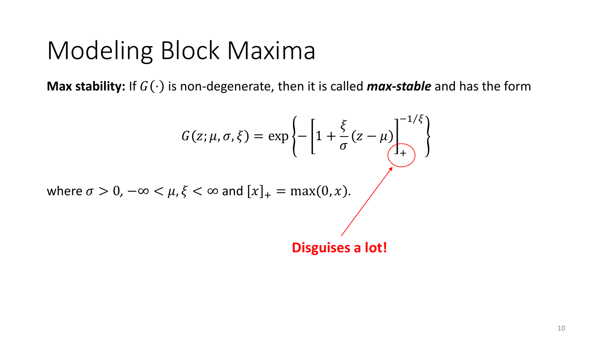**Max stability:** If  $G(\cdot)$  is non-degenerate, then it is called **max-stable** and has the form

$$
G(z; \mu, \sigma, \xi) = \exp\left\{-\left[1 + \frac{\xi}{\sigma}(z - \mu)\right]_{+}^{-1/\xi}\right\}
$$
  
where  $\sigma > 0$ ,  $-\infty < \mu, \xi < \infty$  and  $[x]_{+} = \max(0, x)$ .  
**Disguises a lot!**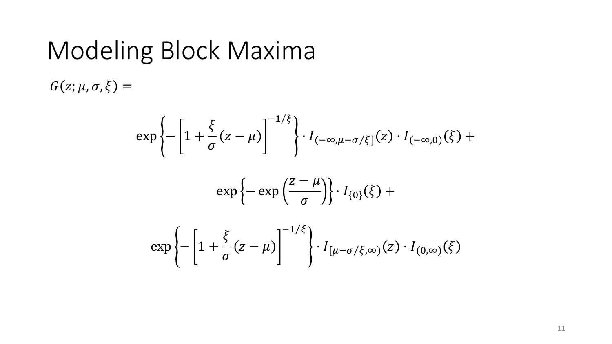$G(z; \mu, \sigma, \xi) =$ 

$$
\exp\left\{-\left[1+\frac{\xi}{\sigma}(z-\mu)\right]^{-1/\xi}\right\}\cdot I_{(-\infty,\mu-\sigma/\xi]}(z)\cdot I_{(-\infty,0)}(\xi)+\right.
$$

$$
\exp\left\{-\exp\left(\frac{z-\mu}{\sigma}\right)\right\}\cdot I_{\{0\}}(\xi) +
$$

$$
\exp\left\{-\left[1+\frac{\xi}{\sigma}(z-\mu)\right]^{-1/\xi}\right\} \cdot I_{\left[\mu-\sigma/\xi,\infty\right)}(z) \cdot I_{\left(0,\infty\right)}(\xi)
$$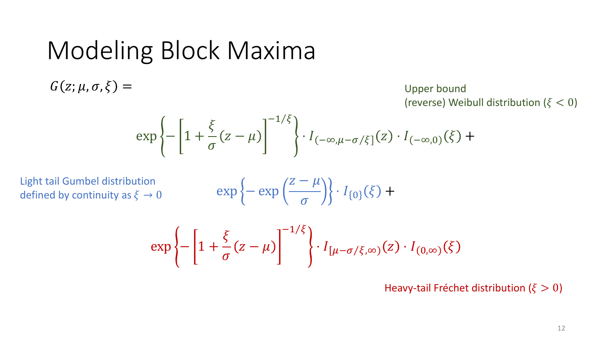$G(z; \mu, \sigma, \xi) =$ 

Upper bound (reverse) Weibull distribution ( $\xi < 0$ )

$$
\exp\left\{-\left[1+\frac{\xi}{\sigma}(z-\mu)\right]^{-1/\xi}\right\}\cdot I_{(-\infty,\mu-\sigma/\xi]}(z)\cdot I_{(-\infty,0)}(\xi)+
$$

Light tail Gumbel distribution defined by continuity as  $\xi \to 0$ 

$$
\exp\left\{-\exp\left(\frac{z-\mu}{\sigma}\right)\right\}\cdot I_{\{0\}}(\xi) +
$$

$$
\exp\left\{-\left[1+\frac{\xi}{\sigma}(z-\mu)\right]^{-1/\xi}\right\}\cdot I_{\left[\mu-\sigma/\xi,\infty\right)}(z)\cdot I_{\left(0,\infty\right)}(\xi)
$$

Heavy-tail Fréchet distribution ( $\xi > 0$ )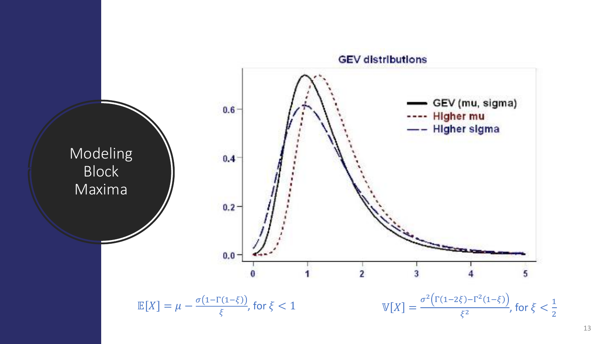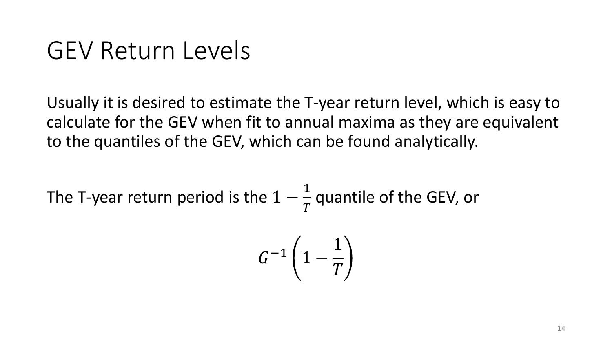## GEV Return Levels

Usually it is desired to estimate the T-year return level, which is easy to calculate for the GEV when fit to annual maxima as they are equivalent to the quantiles of the GEV, which can be found analytically.

The T-year return period is the 
$$
1 - \frac{1}{T}
$$
 quantile of the GEV, or

$$
G^{-1}\left(1-\frac{1}{T}\right)
$$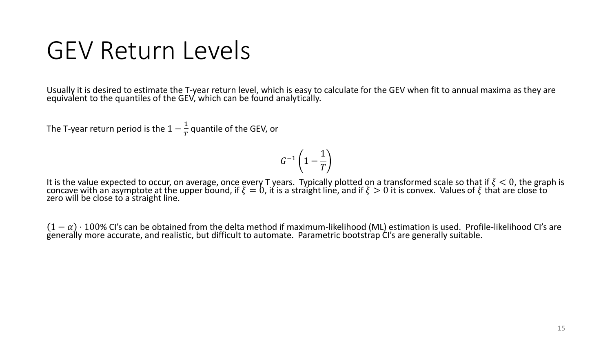# GEV Return Levels

Usually it is desired to estimate the T-year return level, which is easy to calculate for the GEV when fit to annual maxima as they are equivalent to the quantiles of the GEV, which can be found analytically.

The T-year return period is the  $1-\frac{1}{\pi}$  $\frac{1}{T}$  quantile of the GEV, or

$$
G^{-1}\left(1-\frac{1}{T}\right)
$$

It is the value expected to occur, on average, once every T years. Typically plotted on a transformed scale so that if  $\xi < 0$ , the graph is concave with an asymptote at the upper bound, if  $\xi=0$ , it is a straight line, and if  $\xi>0$  it is convex. Values of  $\xi$  that are close to zero will be close to a straight line.

 $1-\alpha$ )  $\cdot$  100% CI's can be obtained from the delta method if maximum-likelihood (ML) estimation is used. Profile-likelihood CI's are generally more accurate, and realistic, but difficult to automate. Parametric bootstrap CI's are generally suitable.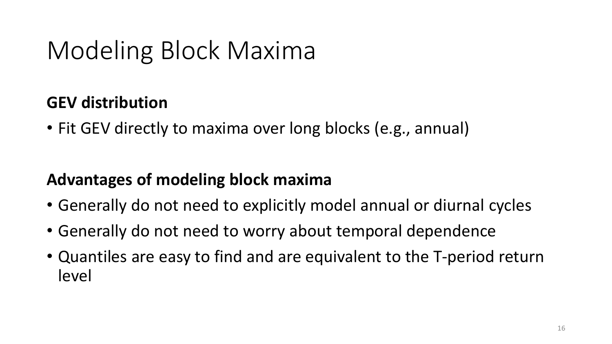#### **GEV distribution**

• Fit GEV directly to maxima over long blocks (e.g., annual)

#### **Advantages of modeling block maxima**

- Generally do not need to explicitly model annual or diurnal cycles
- Generally do not need to worry about temporal dependence
- Quantiles are easy to find and are equivalent to the T-period return level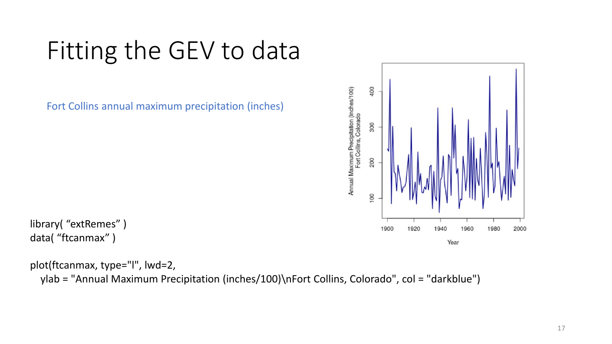# Fitting the GEV to data

Fort Collins annual maximum precipitation (inches)



library( "extRemes" ) data( "ftcanmax" )

plot(ftcanmax, type="l", lwd=2, ylab = "Annual Maximum Precipitation (inches/100)\nFort Collins, Colorado", col = "darkblue")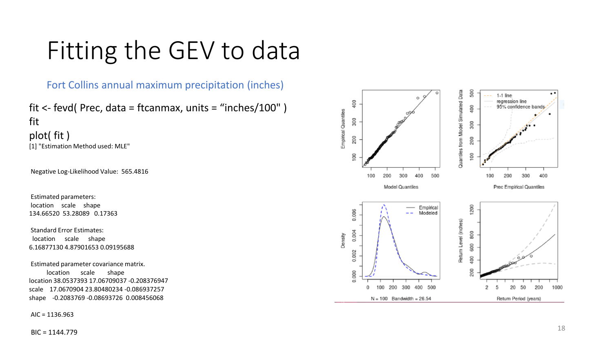# Fitting the GEV to data

Fort Collins annual maximum precipitation (inches)

fit <- fevd( Prec, data = ftcanmax, units = "inches/100" ) fit plot( fit ) [1] "Estimation Method used: MLE"

Negative Log-Likelihood Value: 565.4816

Estimated parameters: location scale shape 134.66520 53.28089 0.17363

Standard Error Estimates: location scale shape 6.16877130 4.87901653 0.09195688

Estimated parameter covariance matrix. location scale shape location 38.0537393 17.06709037 -0.208376947 scale 17.0670904 23.80480234 -0.086937257 shape -0.2083769 -0.08693726 0.008456068

AIC = 1136.963

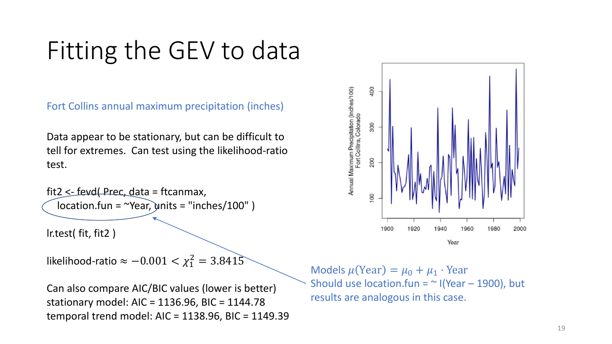# Fitting the GEV to data

Fort Collins annual maximum precipitation (inches)

Data appear to be stationary, but can be difficult to tell for extremes. Can test using the likelihood-ratio test.

fit2 <- fevd( Prec, data = ftcanmax,  $location.fun = "Year, units = "inches/100" )$ 

lr.test( fit, fit2 )

likelihood-ratio  $\approx -0.001 < \chi_1^2 = 3.8415$ 

Can also compare AIC/BIC values (lower is better) stationary model: AIC = 1136.96, BIC = 1144.78 temporal trend model: AIC = 1138.96, BIC = 1149.39



Models  $\mu$ (Year) =  $\mu_0 + \mu_1 \cdot$  Year Should use location.fun =  $\sim$  I(Year – 1900), but results are analogous in this case.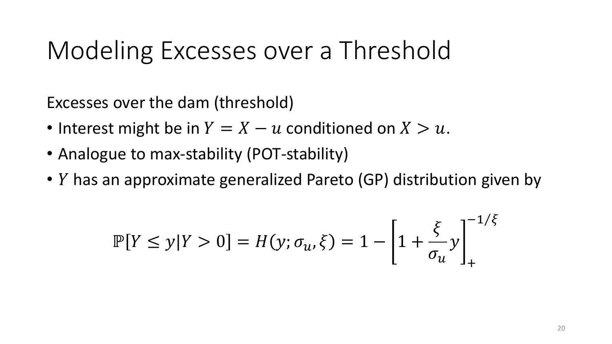# Modeling Excesses over a Threshold

Excesses over the dam (threshold)

- Interest might be in  $Y = X u$  conditioned on  $X > u$ .
- Analogue to max-stability (POT-stability)
- $Y$  has an approximate generalized Pareto (GP) distribution given by

$$
\mathbb{P}[Y \le y | Y > 0] = H(y; \sigma_u, \xi) = 1 - \left[1 + \frac{\xi}{\sigma_u} y\right]_+^{-1/\xi}
$$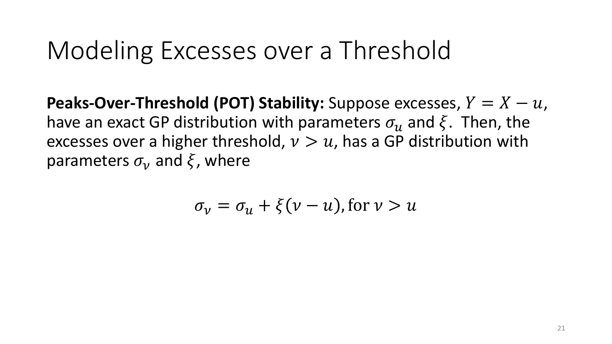# Modeling Excesses over a Threshold

**Peaks-Over-Threshold (POT) Stability:** Suppose excesses,  $Y = X - u$ , have an exact GP distribution with parameters  $\sigma_{11}$  and  $\xi$ . Then, the excesses over a higher threshold,  $v > u$ , has a GP distribution with parameters  $\sigma_{\nu}$  and  $\xi$ , where

$$
\sigma_{\nu} = \sigma_{u} + \xi(\nu - u), \text{for } \nu > u
$$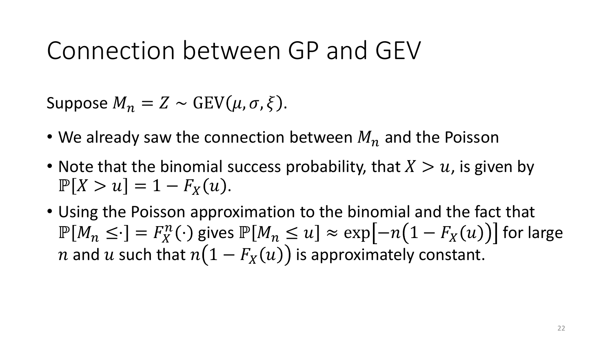Suppose  $M_n = Z \sim \text{GEV}(\mu, \sigma, \xi)$ .

- We already saw the connection between  $M_n$  and the Poisson
- Note that the binomial success probability, that  $X > u$ , is given by  $\mathbb{P}[X > u] = 1 - F_{X}(u).$
- Using the Poisson approximation to the binomial and the fact that  $\mathbb{P}[M_n \leq \cdot] = F_X^n(\cdot)$  gives  $\mathbb{P}[M_n \leq u] \approx \exp[-n(1 - F_X(u))]$  for large *n* and *u* such that  $n(1 - F_X(u))$  is approximately constant.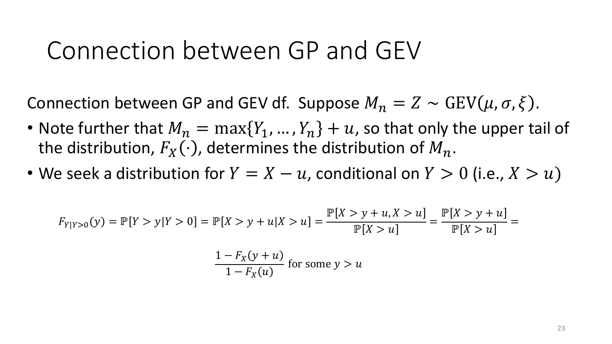Connection between GP and GEV df. Suppose  $M_n = Z \sim \text{GEV}(\mu, \sigma, \xi)$ .

- Note further that  $M_n = \max\{Y_1, ..., Y_n\} + u$ , so that only the upper tail of the distribution,  $F_X(\cdot)$ , determines the distribution of  $M_n$ .
- We seek a distribution for  $Y = X u$ , conditional on  $Y > 0$  (i.e.,  $X > u$ )

$$
F_{Y|Y>0}(y) = \mathbb{P}[Y > y | Y > 0] = \mathbb{P}[X > y + u | X > u] = \frac{\mathbb{P}[X > y + u, X > u]}{\mathbb{P}[X > u]} = \frac{\mathbb{P}[X > y + u]}{\mathbb{P}[X > u]} = \frac{\mathbb{P}[X > y + u]}{\mathbb{P}[X > u]} = \frac{1 - F_X(y + u)}{1 - F_X(u)}
$$
 for some  $y > u$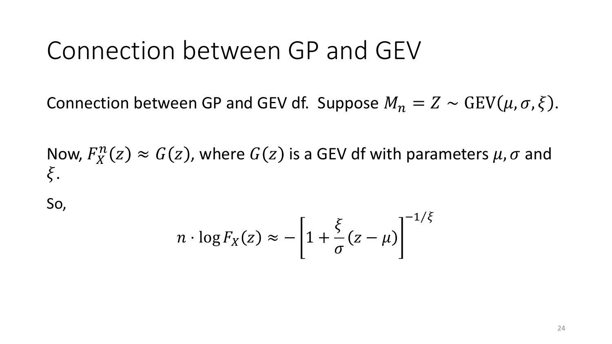Connection between GP and GEV df. Suppose  $M_n = Z \sim \text{GEV}(\mu, \sigma, \xi)$ .

Now,  $F_X^n(z) \approx G(z)$ , where  $G(z)$  is a GEV df with parameters  $\mu$ ,  $\sigma$  and  $\xi$ .

So,

$$
n \cdot \log F_X(z) \approx -\left[1 + \frac{\xi}{\sigma}(z - \mu)\right]^{-1/\xi}
$$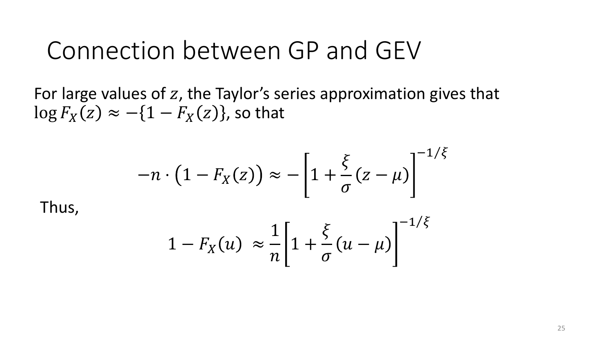For large values of  $z$ , the Taylor's series approximation gives that  $\log F_X(z) \approx -\{1 - F_X(z)\}\text{, so that}$ 

$$
-n \cdot \left(1 - F_X(z)\right) \approx -\left[1 + \frac{\xi}{\sigma}(z - \mu)\right]^{-1/\xi}
$$

Thus,

$$
1 - F_X(u) \approx \frac{1}{n} \left[ 1 + \frac{\xi}{\sigma} (u - \mu) \right]^{-1/\xi}
$$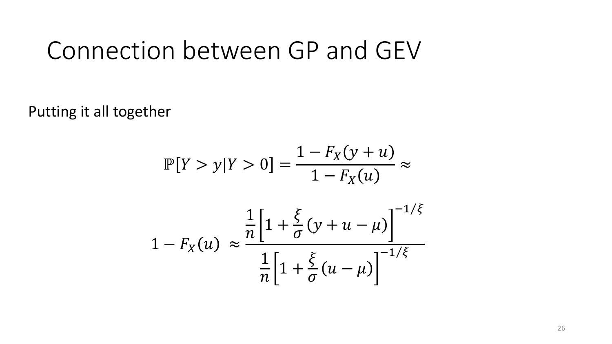Putting it all together

$$
\mathbb{P}[Y > y | Y > 0] = \frac{1 - F_X(y + u)}{1 - F_X(u)} \approx
$$

$$
1 - F_X(u) \approx \frac{\frac{1}{n} \left[ 1 + \frac{\xi}{\sigma} (y + u - \mu) \right]^{-1/\xi}}{\frac{1}{n} \left[ 1 + \frac{\xi}{\sigma} (u - \mu) \right]^{-1/\xi}}
$$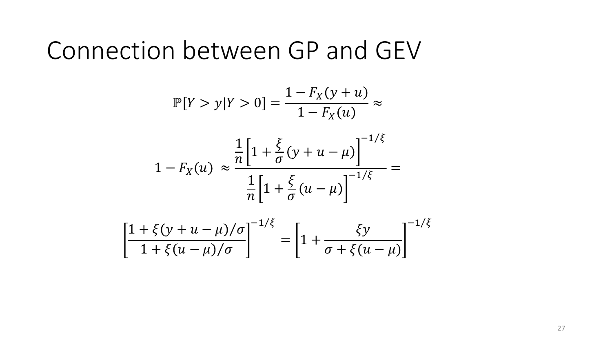$$
\mathbb{P}[Y > y | Y > 0] = \frac{1 - F_X(y + u)}{1 - F_X(u)} \approx
$$

$$
1 - F_X(u) \approx \frac{\frac{1}{n} \left[ 1 + \frac{\xi}{\sigma} (y + u - \mu) \right]^{-1/\xi}}{\frac{1}{n} \left[ 1 + \frac{\xi}{\sigma} (u - \mu) \right]^{-1/\xi}} =
$$

$$
\left[\frac{1+\xi(y+u-\mu)/\sigma}{1+\xi(u-\mu)/\sigma}\right]^{-1/\xi} = \left[1+\frac{\xi y}{\sigma+\xi(u-\mu)}\right]^{-1/\xi}
$$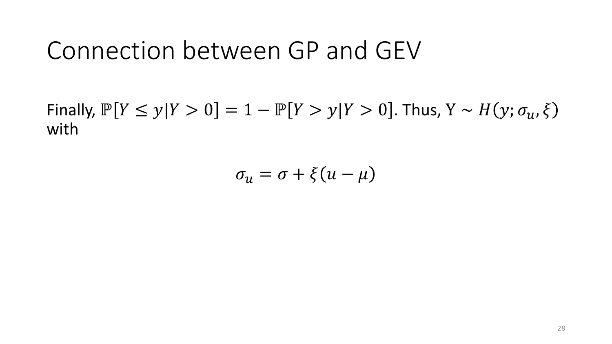Finally,  $\mathbb{P}[Y \leq y | Y > 0] = 1 - \mathbb{P}[Y > y | Y > 0]$ . Thus,  $Y \sim H(y; \sigma_u, \xi)$ with

 $\sigma_{\rm u} = \sigma + \xi (u - \mu)$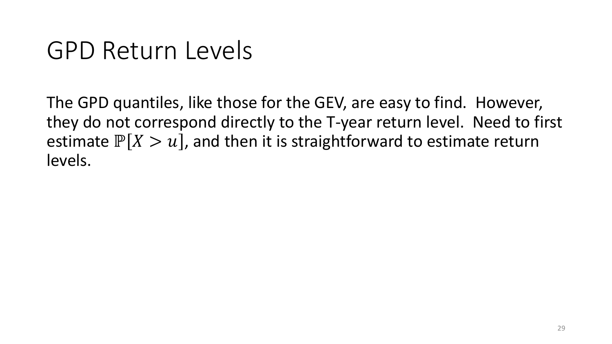# GPD Return Levels

The GPD quantiles, like those for the GEV, are easy to find. However, they do not correspond directly to the T-year return level. Need to first estimate  $\mathbb{P}[X > u]$ , and then it is straightforward to estimate return levels.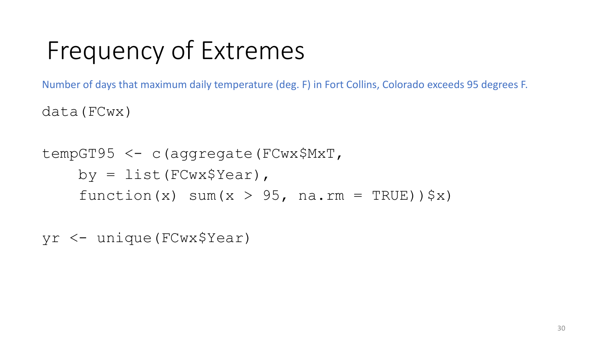# Frequency of Extremes

Number of days that maximum daily temperature (deg. F) in Fort Collins, Colorado exceeds 95 degrees F.

data(FCwx)

tempGT95 <- c(aggregate(FCwx\$MxT, by =  $list(FCwx$Year)$ , function(x) sum(x > 95, na.rm = TRUE)) $\zeta$ x)

yr <- unique(FCwx\$Year)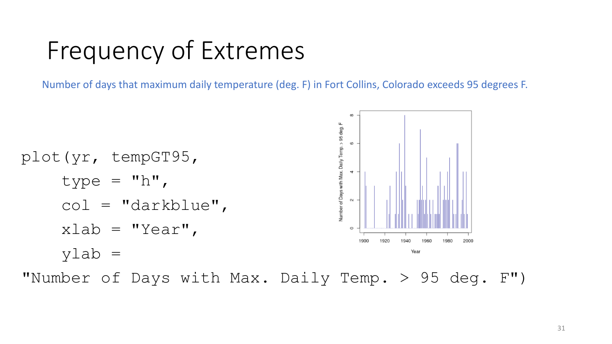Frequency of Extremes

Number of days that maximum daily temperature (deg. F) in Fort Collins, Colorado exceeds 95 degrees F.

Number of Days with Max. Daily Temp. > 95 deg. F 6 plot(yr, tempGT95,  $\overline{\phantom{a}}$ type =  $"h"$ ,  $\sim$ col = "darkblue",  $x$ lab = "Year", 1900 2000 ylab = Year

"Number of Days with Max. Daily Temp. > 95 deg. F")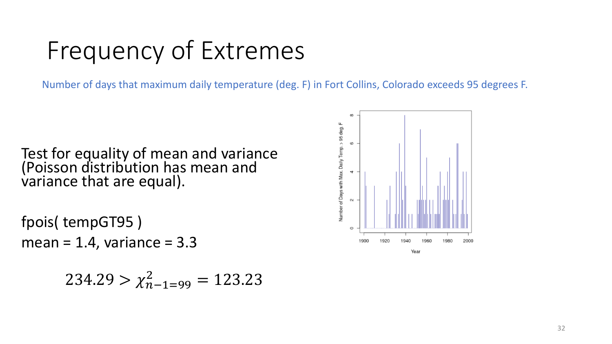# Frequency of Extremes

Number of days that maximum daily temperature (deg. F) in Fort Collins, Colorado exceeds 95 degrees F.

Test for equality of mean and variance (Poisson distribution has mean and variance that are equal).

fpois( tempGT95 ) mean =  $1.4$ , variance =  $3.3$ 

$$
234.29 > \chi^2_{n-1=99} = 123.23
$$

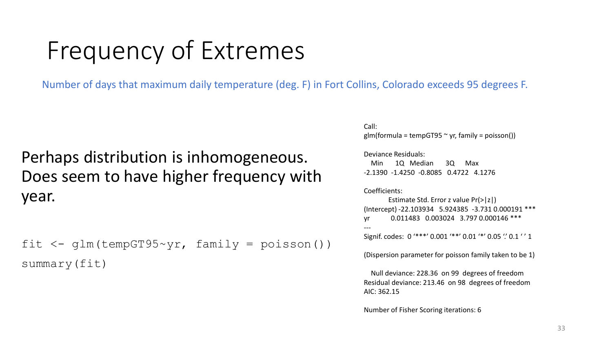# Frequency of Extremes

Number of days that maximum daily temperature (deg. F) in Fort Collins, Colorado exceeds 95 degrees F.

#### Perhaps distribution is inhomogeneous. Does seem to have higher frequency with year.

```
fit \langle -g \rangleqlm(tempGT95~yr, family = poisson())
summary(fit)
```
Call: glm(formula = tempGT95  $\sim$  yr, family = poisson())

#### Deviance Residuals: Min 1Q Median 3Q Max

-2.1390 -1.4250 -0.8085 0.4722 4.1276

#### Coefficients:

Estimate Std. Error z value Pr(>|z|) (Intercept) -22.103934 5.924385 -3.731 0.000191 \*\*\* yr 0.011483 0.003024 3.797 0.000146 \*\*\* ---

Signif. codes: 0 '\*\*\*' 0.001 '\*\*' 0.01 '\*' 0.05 '.' 0.1 '' 1

(Dispersion parameter for poisson family taken to be 1)

Null deviance: 228.36 on 99 degrees of freedom Residual deviance: 213.46 on 98 degrees of freedom AIC: 362.15

Number of Fisher Scoring iterations: 6